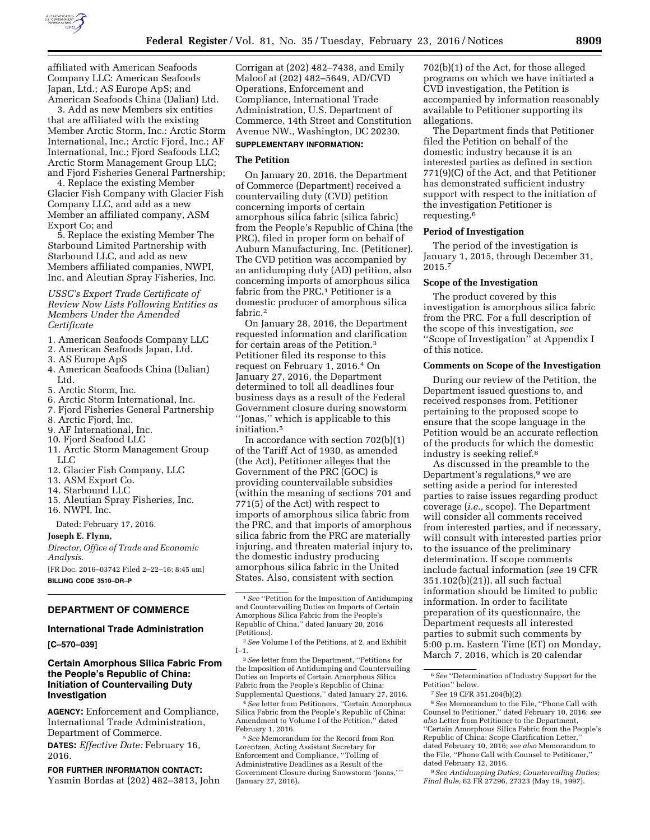

affiliated with American Seafoods Company LLC: American Seafoods Japan, Ltd.; AS Europe ApS; and American Seafoods China (Dalian) Ltd.

3. Add as new Members six entities that are affiliated with the existing Member Arctic Storm, Inc.: Arctic Storm International, Inc.; Arctic Fjord, Inc.; AF International, Inc.; Fjord Seafoods LLC; Arctic Storm Management Group LLC; and Fjord Fisheries General Partnership;

4. Replace the existing Member Glacier Fish Company with Glacier Fish Company LLC, and add as a new Member an affiliated company, ASM Export Co; and

5. Replace the existing Member The Starbound Limited Partnership with Starbound LLC, and add as new Members affiliated companies, NWPI, Inc, and Aleutian Spray Fisheries, Inc.

*USSC's Export Trade Certificate of Review Now Lists Following Entities as Members Under the Amended Certificate* 

- 1. American Seafoods Company LLC
- 2. American Seafoods Japan, Ltd.
- 3. AS Europe ApS
- 4. American Seafoods China (Dalian) Ltd.
- 5. Arctic Storm, Inc.
- 6. Arctic Storm International, Inc.
- 7. Fjord Fisheries General Partnership
- 8. Arctic Fjord, Inc.
- 9. AF International, Inc.
- 10. Fjord Seafood LLC
- 11. Arctic Storm Management Group LLC
- 12. Glacier Fish Company, LLC
- 13. ASM Export Co.
- 14. Starbound LLC
- 15. Aleutian Spray Fisheries, Inc. 16. NWPI, Inc.

Dated: February 17, 2016.

**Joseph E. Flynn,** 

*Director, Office of Trade and Economic Analysis.* 

[FR Doc. 2016–03742 Filed 2–22–16; 8:45 am] **BILLING CODE 3510–DR–P** 

### **DEPARTMENT OF COMMERCE**

## **International Trade Administration**

**[C–570–039]** 

## **Certain Amorphous Silica Fabric From the People's Republic of China: Initiation of Countervailing Duty Investigation**

**AGENCY:** Enforcement and Compliance, International Trade Administration, Department of Commerce.

**DATES:** *Effective Date:* February 16, 2016.

**FOR FURTHER INFORMATION CONTACT:**  Yasmin Bordas at (202) 482–3813, John Corrigan at (202) 482–7438, and Emily Maloof at (202) 482–5649, AD/CVD Operations, Enforcement and Compliance, International Trade Administration, U.S. Department of Commerce, 14th Street and Constitution Avenue NW., Washington, DC 20230.

# **SUPPLEMENTARY INFORMATION:**

## **The Petition**

On January 20, 2016, the Department of Commerce (Department) received a countervailing duty (CVD) petition concerning imports of certain amorphous silica fabric (silica fabric) from the People's Republic of China (the PRC), filed in proper form on behalf of Auburn Manufacturing, Inc. (Petitioner). The CVD petition was accompanied by an antidumping duty (AD) petition, also concerning imports of amorphous silica fabric from the PRC.<sup>1</sup> Petitioner is a domestic producer of amorphous silica fabric.2

On January 28, 2016, the Department requested information and clarification for certain areas of the Petition.3 Petitioner filed its response to this request on February 1, 2016.4 On January 27, 2016, the Department determined to toll all deadlines four business days as a result of the Federal Government closure during snowstorm ''Jonas,'' which is applicable to this initiation.5

In accordance with section 702(b)(1) of the Tariff Act of 1930, as amended (the Act), Petitioner alleges that the Government of the PRC (GOC) is providing countervailable subsidies (within the meaning of sections 701 and 771(5) of the Act) with respect to imports of amorphous silica fabric from the PRC, and that imports of amorphous silica fabric from the PRC are materially injuring, and threaten material injury to, the domestic industry producing amorphous silica fabric in the United States. Also, consistent with section

3*See* letter from the Department, ''Petitions for the Imposition of Antidumping and Countervailing Duties on Imports of Certain Amorphous Silica Fabric from the People's Republic of China: Supplemental Questions,'' dated January 27, 2016.

4*See* letter from Petitioners, ''Certain Amorphous Silica Fabric from the People's Republic of China: Amendment to Volume I of the Petition,'' dated February 1, 2016.

5*See* Memorandum for the Record from Ron Lorentzen, Acting Assistant Secretary for Enforcement and Compliance, ''Tolling of Administrative Deadlines as a Result of the Government Closure during Snowstorm 'Jonas,' '' (January 27, 2016).

702(b)(1) of the Act, for those alleged programs on which we have initiated a CVD investigation, the Petition is accompanied by information reasonably available to Petitioner supporting its allegations.

The Department finds that Petitioner filed the Petition on behalf of the domestic industry because it is an interested parties as defined in section 771(9)(C) of the Act, and that Petitioner has demonstrated sufficient industry support with respect to the initiation of the investigation Petitioner is requesting.6

#### **Period of Investigation**

The period of the investigation is January 1, 2015, through December 31, 2015.7

### **Scope of the Investigation**

The product covered by this investigation is amorphous silica fabric from the PRC. For a full description of the scope of this investigation, *see*  ''Scope of Investigation'' at Appendix I of this notice.

### **Comments on Scope of the Investigation**

During our review of the Petition, the Department issued questions to, and received responses from, Petitioner pertaining to the proposed scope to ensure that the scope language in the Petition would be an accurate reflection of the products for which the domestic industry is seeking relief.8

As discussed in the preamble to the Department's regulations,<sup>9</sup> we are setting aside a period for interested parties to raise issues regarding product coverage (*i.e.,* scope). The Department will consider all comments received from interested parties, and if necessary, will consult with interested parties prior to the issuance of the preliminary determination. If scope comments include factual information (*see* 19 CFR 351.102(b)(21)), all such factual information should be limited to public information. In order to facilitate preparation of its questionnaire, the Department requests all interested parties to submit such comments by 5:00 p.m. Eastern Time (ET) on Monday, March 7, 2016, which is 20 calendar

9*See Antidumping Duties; Countervailing Duties; Final Rule,* 62 FR 27296, 27323 (May 19, 1997).

<sup>1</sup>*See* ''Petition for the Imposition of Antidumping and Countervailing Duties on Imports of Certain Amorphous Silica Fabric from the People's Republic of China,'' dated January 20, 2016 (Petitions).

<sup>2</sup>*See* Volume I of the Petitions, at 2, and Exhibit I–1.

<sup>6</sup>*See* ''Determination of Industry Support for the Petition'' below.

<sup>7</sup>*See* 19 CFR 351.204(b)(2).

<sup>8</sup>*See* Memorandum to the File, ''Phone Call with Counsel to Petitioner,'' dated February 10, 2016; *see also* Letter from Petitioner to the Department, ''Certain Amorphous Silica Fabric from the People's Republic of China: Scope Clarification Letter,'' dated February 10, 2016; *see also* Memorandum to the File, ''Phone Call with Counsel to Petitioner,'' dated February 12, 2016.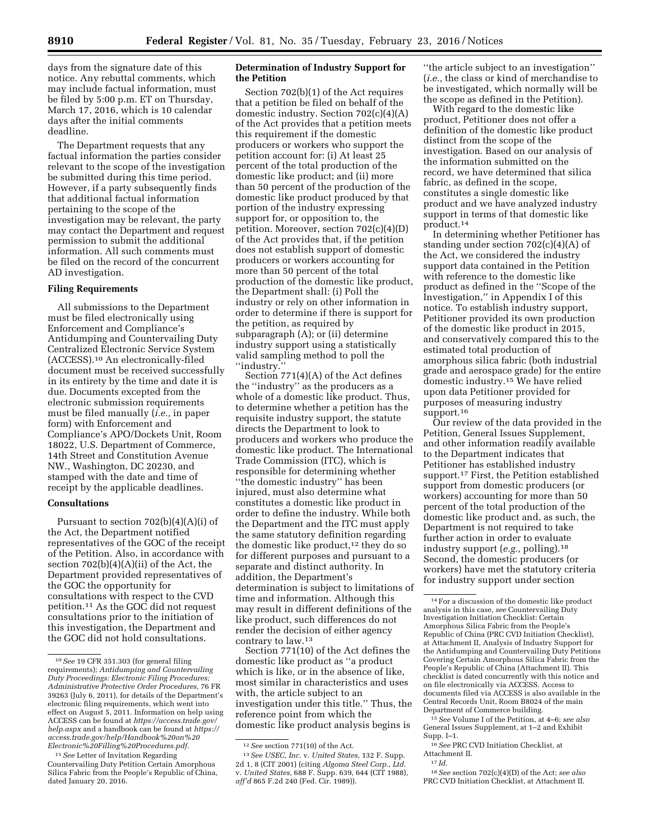days from the signature date of this notice. Any rebuttal comments, which may include factual information, must be filed by 5:00 p.m. ET on Thursday, March 17, 2016, which is 10 calendar days after the initial comments deadline.

The Department requests that any factual information the parties consider relevant to the scope of the investigation be submitted during this time period. However, if a party subsequently finds that additional factual information pertaining to the scope of the investigation may be relevant, the party may contact the Department and request permission to submit the additional information. All such comments must be filed on the record of the concurrent AD investigation.

## **Filing Requirements**

All submissions to the Department must be filed electronically using Enforcement and Compliance's Antidumping and Countervailing Duty Centralized Electronic Service System (ACCESS).10 An electronically-filed document must be received successfully in its entirety by the time and date it is due. Documents excepted from the electronic submission requirements must be filed manually (*i.e.,* in paper form) with Enforcement and Compliance's APO/Dockets Unit, Room 18022, U.S. Department of Commerce, 14th Street and Constitution Avenue NW., Washington, DC 20230, and stamped with the date and time of receipt by the applicable deadlines.

#### **Consultations**

Pursuant to section 702(b)(4)(A)(i) of the Act, the Department notified representatives of the GOC of the receipt of the Petition. Also, in accordance with section  $702(b)(4)(A)(ii)$  of the Act, the Department provided representatives of the GOC the opportunity for consultations with respect to the CVD petition.11 As the GOC did not request consultations prior to the initiation of this investigation, the Department and the GOC did not hold consultations.

11*See* Letter of Invitation Regarding Countervailing Duty Petition Certain Amorphous Silica Fabric from the People's Republic of China, dated January 20, 2016.

## **Determination of Industry Support for the Petition**

Section 702(b)(1) of the Act requires that a petition be filed on behalf of the domestic industry. Section 702(c)(4)(A) of the Act provides that a petition meets this requirement if the domestic producers or workers who support the petition account for: (i) At least 25 percent of the total production of the domestic like product; and (ii) more than 50 percent of the production of the domestic like product produced by that portion of the industry expressing support for, or opposition to, the petition. Moreover, section 702(c)(4)(D) of the Act provides that, if the petition does not establish support of domestic producers or workers accounting for more than 50 percent of the total production of the domestic like product, the Department shall: (i) Poll the industry or rely on other information in order to determine if there is support for the petition, as required by subparagraph (A); or (ii) determine industry support using a statistically valid sampling method to poll the ''industry.''

Section 771(4)(A) of the Act defines the ''industry'' as the producers as a whole of a domestic like product. Thus, to determine whether a petition has the requisite industry support, the statute directs the Department to look to producers and workers who produce the domestic like product. The International Trade Commission (ITC), which is responsible for determining whether ''the domestic industry'' has been injured, must also determine what constitutes a domestic like product in order to define the industry. While both the Department and the ITC must apply the same statutory definition regarding the domestic like product, $12$  they do so for different purposes and pursuant to a separate and distinct authority. In addition, the Department's determination is subject to limitations of time and information. Although this may result in different definitions of the like product, such differences do not render the decision of either agency contrary to law.13

Section 771(10) of the Act defines the domestic like product as ''a product which is like, or in the absence of like, most similar in characteristics and uses with, the article subject to an investigation under this title.'' Thus, the reference point from which the domestic like product analysis begins is

''the article subject to an investigation'' (*i.e.,* the class or kind of merchandise to be investigated, which normally will be the scope as defined in the Petition).

With regard to the domestic like product, Petitioner does not offer a definition of the domestic like product distinct from the scope of the investigation. Based on our analysis of the information submitted on the record, we have determined that silica fabric, as defined in the scope, constitutes a single domestic like product and we have analyzed industry support in terms of that domestic like product.14

In determining whether Petitioner has standing under section 702(c)(4)(A) of the Act, we considered the industry support data contained in the Petition with reference to the domestic like product as defined in the ''Scope of the Investigation,'' in Appendix I of this notice. To establish industry support, Petitioner provided its own production of the domestic like product in 2015, and conservatively compared this to the estimated total production of amorphous silica fabric (both industrial grade and aerospace grade) for the entire domestic industry.15 We have relied upon data Petitioner provided for purposes of measuring industry support.16

Our review of the data provided in the Petition, General Issues Supplement, and other information readily available to the Department indicates that Petitioner has established industry support.17 First, the Petition established support from domestic producers (or workers) accounting for more than 50 percent of the total production of the domestic like product and, as such, the Department is not required to take further action in order to evaluate industry support (*e.g.,* polling).18 Second, the domestic producers (or workers) have met the statutory criteria for industry support under section

15*See* Volume I of the Petition, at 4–6; *see also*  General Issues Supplement, at 1–2 and Exhibit Supp. I–1.

16*See* PRC CVD Initiation Checklist, at Attachment II.

17 *Id.* 

18*See* section 702(c)(4)(D) of the Act; *see also*  PRC CVD Initiation Checklist, at Attachment II.

<sup>10</sup>*See* 19 CFR 351.303 (for general filing requirements); *Antidumping and Countervailing Duty Proceedings: Electronic Filing Procedures; Administrative Protective Order Procedures,* 76 FR 39263 (July 6, 2011), for details of the Department's electronic filing requirements, which went into effect on August 5, 2011. Information on help using ACCESS can be found at *[https://access.trade.gov/](https://access.trade.gov/help.aspx) [help.aspx](https://access.trade.gov/help.aspx)* and a handbook can be found at *[https://](https://access.trade.gov/help/Handbook%20on%20Electronic%20Filling%20Procedures.pdf)  [access.trade.gov/help/Handbook%20on%20](https://access.trade.gov/help/Handbook%20on%20Electronic%20Filling%20Procedures.pdf) [Electronic%20Filling%20Procedures.pdf.](https://access.trade.gov/help/Handbook%20on%20Electronic%20Filling%20Procedures.pdf)* 

<sup>12</sup>*See* section 771(10) of the Act.

<sup>13</sup>*See USEC, Inc.* v. *United States,* 132 F. Supp. 2d 1, 8 (CIT 2001) (citing *Algoma Steel Corp., Ltd.*  v. *United States,* 688 F. Supp. 639, 644 (CIT 1988), *aff'd* 865 F.2d 240 (Fed. Cir. 1989)).

<sup>14</sup>For a discussion of the domestic like product analysis in this case, *see* Countervailing Duty Investigation Initiation Checklist: Certain Amorphous Silica Fabric from the People's Republic of China (PRC CVD Initiation Checklist), at Attachment II, Analysis of Industry Support for the Antidumping and Countervailing Duty Petitions Covering Certain Amorphous Silica Fabric from the People's Republic of China (Attachment II). This checklist is dated concurrently with this notice and on file electronically via ACCESS. Access to documents filed via ACCESS is also available in the Central Records Unit, Room B8024 of the main Department of Commerce building.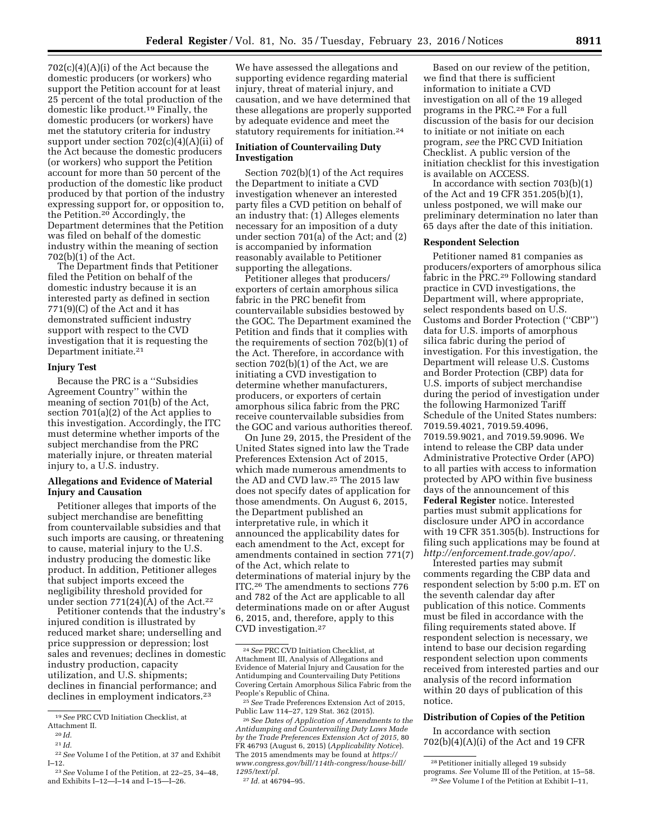$702(c)(4)(A)(i)$  of the Act because the domestic producers (or workers) who support the Petition account for at least 25 percent of the total production of the domestic like product.<sup>19</sup> Finally, the domestic producers (or workers) have met the statutory criteria for industry support under section 702(c)(4)(A)(ii) of the Act because the domestic producers (or workers) who support the Petition account for more than 50 percent of the production of the domestic like product produced by that portion of the industry expressing support for, or opposition to, the Petition.20 Accordingly, the Department determines that the Petition was filed on behalf of the domestic industry within the meaning of section 702(b)(1) of the Act.

The Department finds that Petitioner filed the Petition on behalf of the domestic industry because it is an interested party as defined in section 771(9)(C) of the Act and it has demonstrated sufficient industry support with respect to the CVD investigation that it is requesting the Department initiate.21

## **Injury Test**

Because the PRC is a ''Subsidies Agreement Country'' within the meaning of section 701(b) of the Act, section 701(a)(2) of the Act applies to this investigation. Accordingly, the ITC must determine whether imports of the subject merchandise from the PRC materially injure, or threaten material injury to, a U.S. industry.

## **Allegations and Evidence of Material Injury and Causation**

Petitioner alleges that imports of the subject merchandise are benefitting from countervailable subsidies and that such imports are causing, or threatening to cause, material injury to the U.S. industry producing the domestic like product. In addition, Petitioner alleges that subject imports exceed the negligibility threshold provided for under section  $771(24)(A)$  of the Act.<sup>22</sup>

Petitioner contends that the industry's injured condition is illustrated by reduced market share; underselling and price suppression or depression; lost sales and revenues; declines in domestic industry production, capacity utilization, and U.S. shipments; declines in financial performance; and declines in employment indicators.<sup>23</sup>

We have assessed the allegations and supporting evidence regarding material injury, threat of material injury, and causation, and we have determined that these allegations are properly supported by adequate evidence and meet the statutory requirements for initiation.24

## **Initiation of Countervailing Duty Investigation**

Section 702(b)(1) of the Act requires the Department to initiate a CVD investigation whenever an interested party files a CVD petition on behalf of an industry that: (1) Alleges elements necessary for an imposition of a duty under section 701(a) of the Act; and (2) is accompanied by information reasonably available to Petitioner supporting the allegations.

Petitioner alleges that producers/ exporters of certain amorphous silica fabric in the PRC benefit from countervailable subsidies bestowed by the GOC. The Department examined the Petition and finds that it complies with the requirements of section 702(b)(1) of the Act. Therefore, in accordance with section 702(b)(1) of the Act, we are initiating a CVD investigation to determine whether manufacturers, producers, or exporters of certain amorphous silica fabric from the PRC receive countervailable subsidies from the GOC and various authorities thereof.

On June 29, 2015, the President of the United States signed into law the Trade Preferences Extension Act of 2015, which made numerous amendments to the AD and CVD law.25 The 2015 law does not specify dates of application for those amendments. On August 6, 2015, the Department published an interpretative rule, in which it announced the applicability dates for each amendment to the Act, except for amendments contained in section 771(7) of the Act, which relate to determinations of material injury by the ITC.26 The amendments to sections 776 and 782 of the Act are applicable to all determinations made on or after August 6, 2015, and, therefore, apply to this CVD investigation.27

Based on our review of the petition, we find that there is sufficient information to initiate a CVD investigation on all of the 19 alleged programs in the PRC.28 For a full discussion of the basis for our decision to initiate or not initiate on each program, *see* the PRC CVD Initiation Checklist. A public version of the initiation checklist for this investigation is available on ACCESS.

In accordance with section 703(b)(1) of the Act and 19 CFR 351.205(b)(1), unless postponed, we will make our preliminary determination no later than 65 days after the date of this initiation.

#### **Respondent Selection**

Petitioner named 81 companies as producers/exporters of amorphous silica fabric in the PRC.<sup>29</sup> Following standard practice in CVD investigations, the Department will, where appropriate, select respondents based on U.S. Customs and Border Protection (''CBP'') data for U.S. imports of amorphous silica fabric during the period of investigation. For this investigation, the Department will release U.S. Customs and Border Protection (CBP) data for U.S. imports of subject merchandise during the period of investigation under the following Harmonized Tariff Schedule of the United States numbers: 7019.59.4021, 7019.59.4096, 7019.59.9021, and 7019.59.9096. We intend to release the CBP data under Administrative Protective Order (APO) to all parties with access to information protected by APO within five business days of the announcement of this **Federal Register** notice. Interested parties must submit applications for disclosure under APO in accordance with 19 CFR 351.305(b). Instructions for filing such applications may be found at *[http://enforcement.trade.gov/apo/.](http://enforcement.trade.gov/apo/)* 

Interested parties may submit comments regarding the CBP data and respondent selection by 5:00 p.m. ET on the seventh calendar day after publication of this notice. Comments must be filed in accordance with the filing requirements stated above. If respondent selection is necessary, we intend to base our decision regarding respondent selection upon comments received from interested parties and our analysis of the record information within 20 days of publication of this notice.

### **Distribution of Copies of the Petition**

In accordance with section 702(b)(4)(A)(i) of the Act and 19 CFR

<sup>19</sup>*See* PRC CVD Initiation Checklist, at

Attachment II.

<sup>20</sup> *Id.*  21 *Id.* 

<sup>22</sup>*See* Volume I of the Petition, at 37 and Exhibit I–12.

<sup>23</sup>*See* Volume I of the Petition, at 22–25, 34–48, and Exhibits I–12—I–14 and I–15—I–26.

<sup>24</sup>*See* PRC CVD Initiation Checklist, at Attachment III, Analysis of Allegations and Evidence of Material Injury and Causation for the Antidumping and Countervailing Duty Petitions Covering Certain Amorphous Silica Fabric from the People's Republic of China.

<sup>25</sup>*See* Trade Preferences Extension Act of 2015, Public Law 114–27, 129 Stat. 362 (2015).

<sup>26</sup>*See Dates of Application of Amendments to the Antidumping and Countervailing Duty Laws Made by the Trade Preferences Extension Act of 2015,* 80 FR 46793 (August 6, 2015) (*Applicability Notice*). The 2015 amendments may be found at *[https://](https://www.congress.gov/bill/114th-congress/house-bill/1295/text/pl) [www.congress.gov/bill/114th-congress/house-bill/](https://www.congress.gov/bill/114th-congress/house-bill/1295/text/pl) [1295/text/pl.](https://www.congress.gov/bill/114th-congress/house-bill/1295/text/pl)* 

<sup>27</sup> *Id.* at 46794–95.

 $^{\rm 28}$  Petitioner initially alleged 19 subsidy programs. *See* Volume III of the Petition, at 15–58. 29*See* Volume I of the Petition at Exhibit I–11,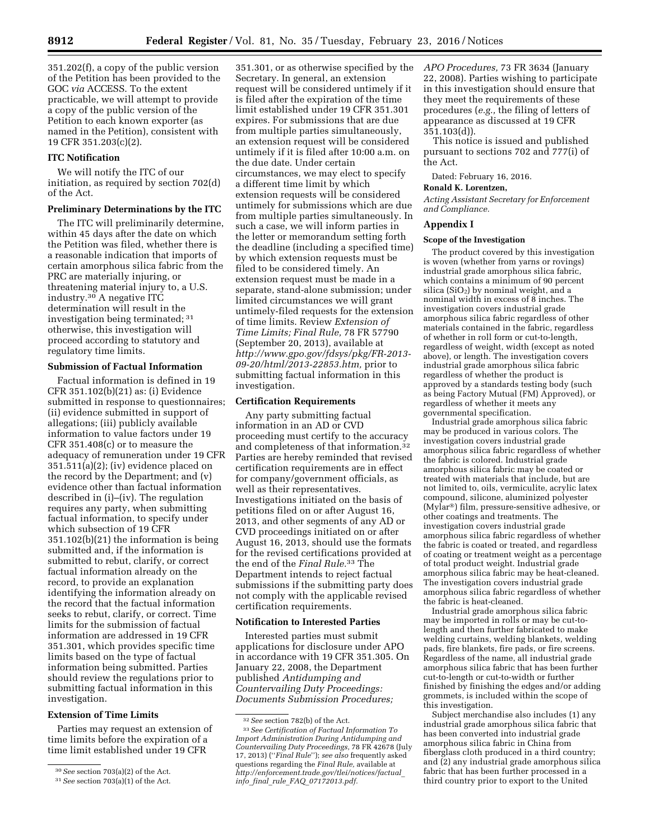351.202(f), a copy of the public version of the Petition has been provided to the GOC *via* ACCESS. To the extent practicable, we will attempt to provide a copy of the public version of the Petition to each known exporter (as named in the Petition), consistent with 19 CFR 351.203(c)(2).

## **ITC Notification**

We will notify the ITC of our initiation, as required by section 702(d) of the Act.

## **Preliminary Determinations by the ITC**

The ITC will preliminarily determine, within 45 days after the date on which the Petition was filed, whether there is a reasonable indication that imports of certain amorphous silica fabric from the PRC are materially injuring, or threatening material injury to, a U.S. industry.<sup>30</sup> A negative ITC determination will result in the investigation being terminated; 31 otherwise, this investigation will proceed according to statutory and regulatory time limits.

## **Submission of Factual Information**

Factual information is defined in 19 CFR 351.102(b)(21) as: (i) Evidence submitted in response to questionnaires; (ii) evidence submitted in support of allegations; (iii) publicly available information to value factors under 19 CFR 351.408(c) or to measure the adequacy of remuneration under 19 CFR 351.511(a)(2); (iv) evidence placed on the record by the Department; and (v) evidence other than factual information described in (i)–(iv). The regulation requires any party, when submitting factual information, to specify under which subsection of 19 CFR 351.102(b)(21) the information is being submitted and, if the information is submitted to rebut, clarify, or correct factual information already on the record, to provide an explanation identifying the information already on the record that the factual information seeks to rebut, clarify, or correct. Time limits for the submission of factual information are addressed in 19 CFR 351.301, which provides specific time limits based on the type of factual information being submitted. Parties should review the regulations prior to submitting factual information in this investigation.

### **Extension of Time Limits**

Parties may request an extension of time limits before the expiration of a time limit established under 19 CFR

351.301, or as otherwise specified by the Secretary. In general, an extension request will be considered untimely if it is filed after the expiration of the time limit established under 19 CFR 351.301 expires. For submissions that are due from multiple parties simultaneously, an extension request will be considered untimely if it is filed after 10:00 a.m. on the due date. Under certain circumstances, we may elect to specify a different time limit by which extension requests will be considered untimely for submissions which are due from multiple parties simultaneously. In such a case, we will inform parties in the letter or memorandum setting forth the deadline (including a specified time) by which extension requests must be filed to be considered timely. An extension request must be made in a separate, stand-alone submission; under limited circumstances we will grant untimely-filed requests for the extension of time limits. Review *Extension of Time Limits; Final Rule,* 78 FR 57790 (September 20, 2013), available at *[http://www.gpo.gov/fdsys/pkg/FR-2013-](http://www.gpo.gov/fdsys/pkg/FR-2013-09-20/html/2013-22853.htm) [09-20/html/2013-22853.htm,](http://www.gpo.gov/fdsys/pkg/FR-2013-09-20/html/2013-22853.htm)* prior to submitting factual information in this investigation.

## **Certification Requirements**

Any party submitting factual information in an AD or CVD proceeding must certify to the accuracy and completeness of that information.32 Parties are hereby reminded that revised certification requirements are in effect for company/government officials, as well as their representatives. Investigations initiated on the basis of petitions filed on or after August 16, 2013, and other segments of any AD or CVD proceedings initiated on or after August 16, 2013, should use the formats for the revised certifications provided at the end of the *Final Rule.*33 The Department intends to reject factual submissions if the submitting party does not comply with the applicable revised certification requirements.

## **Notification to Interested Parties**

Interested parties must submit applications for disclosure under APO in accordance with 19 CFR 351.305. On January 22, 2008, the Department published *Antidumping and Countervailing Duty Proceedings: Documents Submission Procedures;* 

*APO Procedures,* 73 FR 3634 (January 22, 2008). Parties wishing to participate in this investigation should ensure that they meet the requirements of these procedures (*e.g.,* the filing of letters of appearance as discussed at 19 CFR 351.103(d)).

This notice is issued and published pursuant to sections 702 and 777(i) of the Act.

#### Dated: February 16, 2016.

## **Ronald K. Lorentzen,**

*Acting Assistant Secretary for Enforcement and Compliance.* 

#### **Appendix I**

### **Scope of the Investigation**

The product covered by this investigation is woven (whether from yarns or rovings) industrial grade amorphous silica fabric, which contains a minimum of 90 percent silica  $(SiO<sub>2</sub>)$  by nominal weight, and a nominal width in excess of  $\delta$  inches. The investigation covers industrial grade amorphous silica fabric regardless of other materials contained in the fabric, regardless of whether in roll form or cut-to-length, regardless of weight, width (except as noted above), or length. The investigation covers industrial grade amorphous silica fabric regardless of whether the product is approved by a standards testing body (such as being Factory Mutual (FM) Approved), or regardless of whether it meets any governmental specification.

Industrial grade amorphous silica fabric may be produced in various colors. The investigation covers industrial grade amorphous silica fabric regardless of whether the fabric is colored. Industrial grade amorphous silica fabric may be coated or treated with materials that include, but are not limited to, oils, vermiculite, acrylic latex compound, silicone, aluminized polyester (Mylar®) film, pressure-sensitive adhesive, or other coatings and treatments. The investigation covers industrial grade amorphous silica fabric regardless of whether the fabric is coated or treated, and regardless of coating or treatment weight as a percentage of total product weight. Industrial grade amorphous silica fabric may be heat-cleaned. The investigation covers industrial grade amorphous silica fabric regardless of whether the fabric is heat-cleaned.

Industrial grade amorphous silica fabric may be imported in rolls or may be cut-tolength and then further fabricated to make welding curtains, welding blankets, welding pads, fire blankets, fire pads, or fire screens. Regardless of the name, all industrial grade amorphous silica fabric that has been further cut-to-length or cut-to-width or further finished by finishing the edges and/or adding grommets, is included within the scope of this investigation.

Subject merchandise also includes (1) any industrial grade amorphous silica fabric that has been converted into industrial grade amorphous silica fabric in China from fiberglass cloth produced in a third country; and (2) any industrial grade amorphous silica fabric that has been further processed in a third country prior to export to the United

<sup>30</sup>*See* section 703(a)(2) of the Act.

<sup>31</sup>*See* section 703(a)(1) of the Act.

<sup>32</sup>*See* section 782(b) of the Act.

<sup>33</sup>*See Certification of Factual Information To Import Administration During Antidumping and Countervailing Duty Proceedings,* 78 FR 42678 (July 17, 2013) (''*Final Rule*''); *see also* frequently asked questions regarding the *Final Rule,* available at *[http://enforcement.trade.gov/tlei/notices/factual](http://enforcement.trade.gov/tlei/notices/factual_info_final_rule_FAQ_07172013.pdf)*\_ *info*\_*final*\_*rule*\_*FAQ*\_*[07172013.pdf.](http://enforcement.trade.gov/tlei/notices/factual_info_final_rule_FAQ_07172013.pdf)*